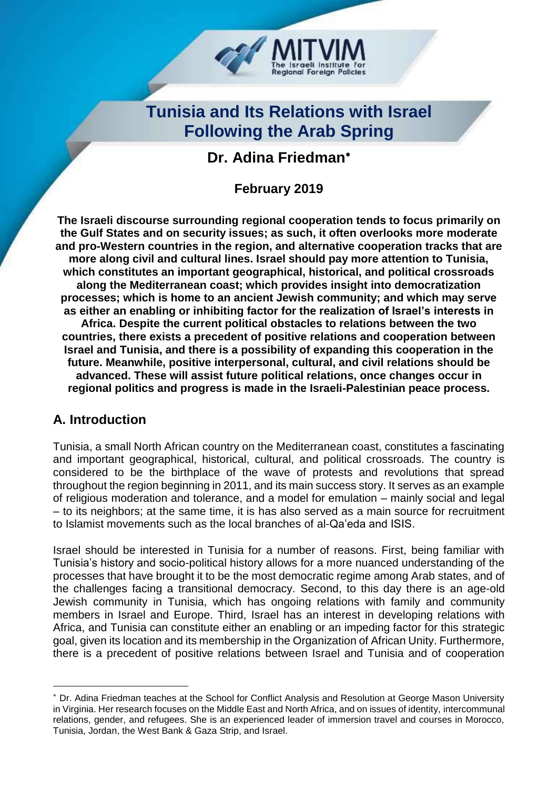

# **Tunisia and Its Relations with Israel Following the Arab Spring**

## **Dr. Adina Friedman**

**February 2019**

**The Israeli discourse surrounding regional cooperation tends to focus primarily on the Gulf States and on security issues; as such, it often overlooks more moderate and pro-Western countries in the region, and alternative cooperation tracks that are more along civil and cultural lines. Israel should pay more attention to Tunisia, which constitutes an important geographical, historical, and political crossroads along the Mediterranean coast; which provides insight into democratization processes; which is home to an ancient Jewish community; and which may serve as either an enabling or inhibiting factor for the realization of Israel's interests in Africa. Despite the current political obstacles to relations between the two countries, there exists a precedent of positive relations and cooperation between Israel and Tunisia, and there is a possibility of expanding this cooperation in the future. Meanwhile, positive interpersonal, cultural, and civil relations should be advanced. These will assist future political relations, once changes occur in regional politics and progress is made in the Israeli-Palestinian peace process.**

## **A. Introduction**

-

Tunisia, a small North African country on the Mediterranean coast, constitutes a fascinating and important geographical, historical, cultural, and political crossroads. The country is considered to be the birthplace of the wave of protests and revolutions that spread throughout the region beginning in 2011, and its main success story. It serves as an example of religious moderation and tolerance, and a model for emulation – mainly social and legal – to its neighbors; at the same time, it is has also served as a main source for recruitment to Islamist movements such as the local branches of al-Qa'eda and ISIS.

Israel should be interested in Tunisia for a number of reasons. First, being familiar with Tunisia's history and socio-political history allows for a more nuanced understanding of the processes that have brought it to be the most democratic regime among Arab states, and of the challenges facing a transitional democracy. Second, to this day there is an age-old Jewish community in Tunisia, which has ongoing relations with family and community members in Israel and Europe. Third, Israel has an interest in developing relations with Africa, and Tunisia can constitute either an enabling or an impeding factor for this strategic goal, given its location and its membership in the Organization of African Unity. Furthermore, there is a precedent of positive relations between Israel and Tunisia and of cooperation

Dr. Adina Friedman teaches at the School for Conflict Analysis and Resolution at George Mason University in Virginia. Her research focuses on the Middle East and North Africa, and on issues of identity, intercommunal relations, gender, and refugees. She is an experienced leader of immersion travel and courses in Morocco, Tunisia, Jordan, the West Bank & Gaza Strip, and Israel.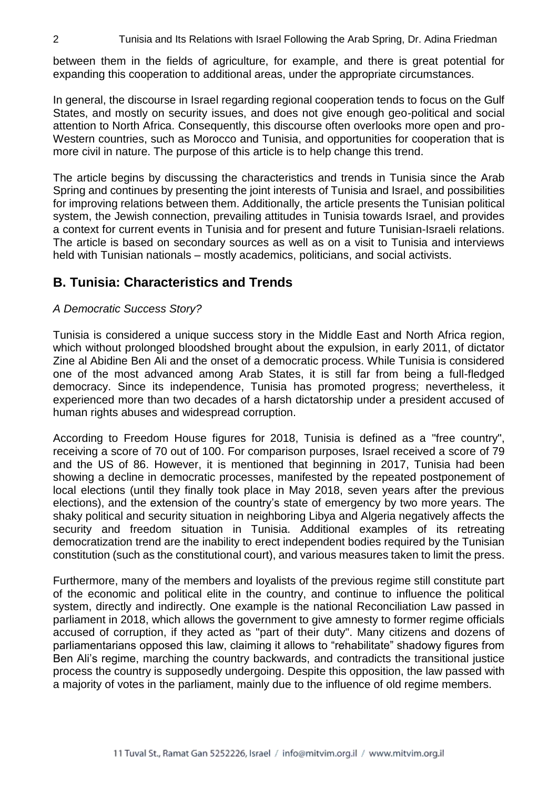between them in the fields of agriculture, for example, and there is great potential for expanding this cooperation to additional areas, under the appropriate circumstances.

In general, the discourse in Israel regarding regional cooperation tends to focus on the Gulf States, and mostly on security issues, and does not give enough geo-political and social attention to North Africa. Consequently, this discourse often overlooks more open and pro-Western countries, such as Morocco and Tunisia, and opportunities for cooperation that is more civil in nature. The purpose of this article is to help change this trend.

The article begins by discussing the characteristics and trends in Tunisia since the Arab Spring and continues by presenting the joint interests of Tunisia and Israel, and possibilities for improving relations between them. Additionally, the article presents the Tunisian political system, the Jewish connection, prevailing attitudes in Tunisia towards Israel, and provides a context for current events in Tunisia and for present and future Tunisian-Israeli relations. The article is based on secondary sources as well as on a visit to Tunisia and interviews held with Tunisian nationals – mostly academics, politicians, and social activists.

## **B. Tunisia: Characteristics and Trends**

#### *A Democratic Success Story?*

Tunisia is considered a unique success story in the Middle East and North Africa region, which without prolonged bloodshed brought about the expulsion, in early 2011, of dictator Zine al Abidine Ben Ali and the onset of a democratic process. While Tunisia is considered one of the most advanced among Arab States, it is still far from being a full-fledged democracy. Since its independence, Tunisia has promoted progress; nevertheless, it experienced more than two decades of a harsh dictatorship under a president accused of human rights abuses and widespread corruption.

According to Freedom House figures for 2018, Tunisia is defined as a "free country", receiving a score of 70 out of 100. For comparison purposes, Israel received a score of 79 and the US of 86. However, it is mentioned that beginning in 2017, Tunisia had been showing a decline in democratic processes, manifested by the repeated postponement of local elections (until they finally took place in May 2018, seven years after the previous elections), and the extension of the country's state of emergency by two more years. The shaky political and security situation in neighboring Libya and Algeria negatively affects the security and freedom situation in Tunisia. Additional examples of its retreating democratization trend are the inability to erect independent bodies required by the Tunisian constitution (such as the constitutional court), and various measures taken to limit the press.

Furthermore, many of the members and loyalists of the previous regime still constitute part of the economic and political elite in the country, and continue to influence the political system, directly and indirectly. One example is the national Reconciliation Law passed in parliament in 2018, which allows the government to give amnesty to former regime officials accused of corruption, if they acted as "part of their duty". Many citizens and dozens of parliamentarians opposed this law, claiming it allows to "rehabilitate" shadowy figures from Ben Ali's regime, marching the country backwards, and contradicts the transitional justice process the country is supposedly undergoing. Despite this opposition, the law passed with a majority of votes in the parliament, mainly due to the influence of old regime members.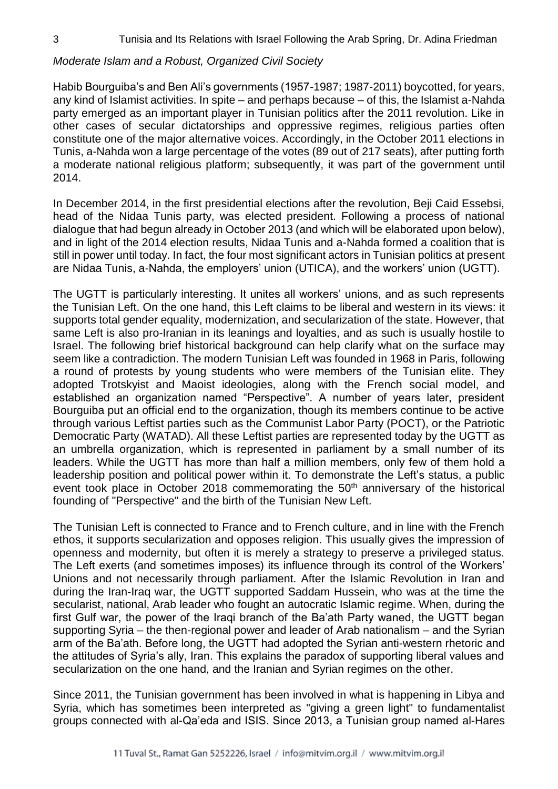#### *Moderate Islam and a Robust, Organized Civil Society*

Habib Bourguiba's and Ben Ali's governments (1957-1987; 1987-2011) boycotted, for years, any kind of Islamist activities. In spite – and perhaps because – of this, the Islamist a-Nahda party emerged as an important player in Tunisian politics after the 2011 revolution. Like in other cases of secular dictatorships and oppressive regimes, religious parties often constitute one of the major alternative voices. Accordingly, in the October 2011 elections in Tunis, a-Nahda won a large percentage of the votes (89 out of 217 seats), after putting forth a moderate national religious platform; subsequently, it was part of the government until 2014.

In December 2014, in the first presidential elections after the revolution, Beji Caid Essebsi, head of the Nidaa Tunis party, was elected president. Following a process of national dialogue that had begun already in October 2013 (and which will be elaborated upon below), and in light of the 2014 election results, Nidaa Tunis and a-Nahda formed a coalition that is still in power until today. In fact, the four most significant actors in Tunisian politics at present are Nidaa Tunis, a-Nahda, the employers' union (UTICA), and the workers' union (UGTT).

The UGTT is particularly interesting. It unites all workers' unions, and as such represents the Tunisian Left. On the one hand, this Left claims to be liberal and western in its views: it supports total gender equality, modernization, and secularization of the state. However, that same Left is also pro-Iranian in its leanings and loyalties, and as such is usually hostile to Israel. The following brief historical background can help clarify what on the surface may seem like a contradiction. The modern Tunisian Left was founded in 1968 in Paris, following a round of protests by young students who were members of the Tunisian elite. They adopted Trotskyist and Maoist ideologies, along with the French social model, and established an organization named "Perspective". A number of years later, president Bourguiba put an official end to the organization, though its members continue to be active through various Leftist parties such as the Communist Labor Party (POCT), or the Patriotic Democratic Party (WATAD). All these Leftist parties are represented today by the UGTT as an umbrella organization, which is represented in parliament by a small number of its leaders. While the UGTT has more than half a million members, only few of them hold a leadership position and political power within it. To demonstrate the Left's status, a public event took place in October 2018 commemorating the 50<sup>th</sup> anniversary of the historical founding of "Perspective" and the birth of the Tunisian New Left.

The Tunisian Left is connected to France and to French culture, and in line with the French ethos, it supports secularization and opposes religion. This usually gives the impression of openness and modernity, but often it is merely a strategy to preserve a privileged status. The Left exerts (and sometimes imposes) its influence through its control of the Workers' Unions and not necessarily through parliament. After the Islamic Revolution in Iran and during the Iran-Iraq war, the UGTT supported Saddam Hussein, who was at the time the secularist, national, Arab leader who fought an autocratic Islamic regime. When, during the first Gulf war, the power of the Iraqi branch of the Ba'ath Party waned, the UGTT began supporting Syria – the then-regional power and leader of Arab nationalism – and the Syrian arm of the Ba'ath. Before long, the UGTT had adopted the Syrian anti-western rhetoric and the attitudes of Syria's ally, Iran. This explains the paradox of supporting liberal values and secularization on the one hand, and the Iranian and Syrian regimes on the other.

Since 2011, the Tunisian government has been involved in what is happening in Libya and Syria, which has sometimes been interpreted as "giving a green light" to fundamentalist groups connected with al-Qa'eda and ISIS. Since 2013, a Tunisian group named al-Hares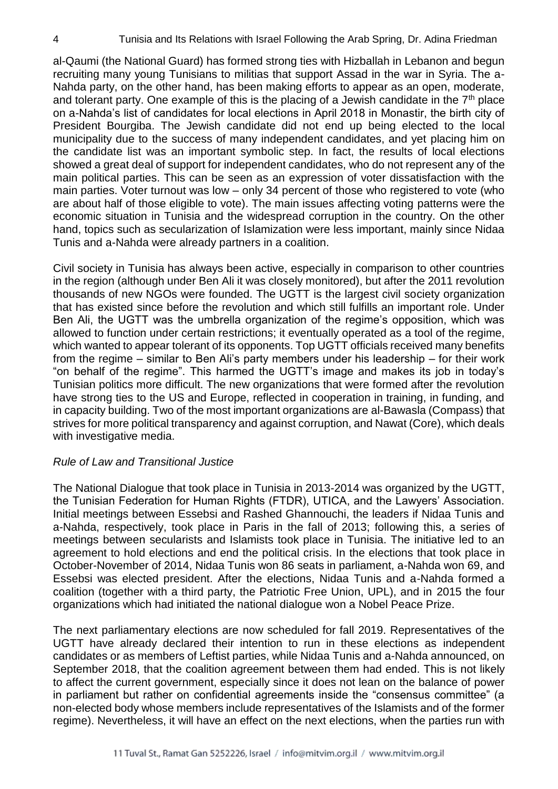al-Qaumi (the National Guard) has formed strong ties with Hizballah in Lebanon and begun recruiting many young Tunisians to militias that support Assad in the war in Syria. The a-Nahda party, on the other hand, has been making efforts to appear as an open, moderate, and tolerant party. One example of this is the placing of a Jewish candidate in the  $7<sup>th</sup>$  place on a-Nahda's list of candidates for local elections in April 2018 in Monastir, the birth city of President Bourgiba. The Jewish candidate did not end up being elected to the local municipality due to the success of many independent candidates, and yet placing him on the candidate list was an important symbolic step. In fact, the results of local elections showed a great deal of support for independent candidates, who do not represent any of the main political parties. This can be seen as an expression of voter dissatisfaction with the main parties. Voter turnout was low – only 34 percent of those who registered to vote (who are about half of those eligible to vote). The main issues affecting voting patterns were the economic situation in Tunisia and the widespread corruption in the country. On the other hand, topics such as secularization of Islamization were less important, mainly since Nidaa Tunis and a-Nahda were already partners in a coalition.

Civil society in Tunisia has always been active, especially in comparison to other countries in the region (although under Ben Ali it was closely monitored), but after the 2011 revolution thousands of new NGOs were founded. The UGTT is the largest civil society organization that has existed since before the revolution and which still fulfills an important role. Under Ben Ali, the UGTT was the umbrella organization of the regime's opposition, which was allowed to function under certain restrictions; it eventually operated as a tool of the regime, which wanted to appear tolerant of its opponents. Top UGTT officials received many benefits from the regime – similar to Ben Ali's party members under his leadership – for their work "on behalf of the regime". This harmed the UGTT's image and makes its job in today's Tunisian politics more difficult. The new organizations that were formed after the revolution have strong ties to the US and Europe, reflected in cooperation in training, in funding, and in capacity building. Two of the most important organizations are al-Bawasla (Compass) that strives for more political transparency and against corruption, and Nawat (Core), which deals with investigative media.

#### *Rule of Law and Transitional Justice*

The National Dialogue that took place in Tunisia in 2013-2014 was organized by the UGTT, the Tunisian Federation for Human Rights (FTDR), UTICA, and the Lawyers' Association. Initial meetings between Essebsi and Rashed Ghannouchi, the leaders if Nidaa Tunis and a-Nahda, respectively, took place in Paris in the fall of 2013; following this, a series of meetings between secularists and Islamists took place in Tunisia. The initiative led to an agreement to hold elections and end the political crisis. In the elections that took place in October-November of 2014, Nidaa Tunis won 86 seats in parliament, a-Nahda won 69, and Essebsi was elected president. After the elections, Nidaa Tunis and a-Nahda formed a coalition (together with a third party, the Patriotic Free Union, UPL), and in 2015 the four organizations which had initiated the national dialogue won a Nobel Peace Prize.

The next parliamentary elections are now scheduled for fall 2019. Representatives of the UGTT have already declared their intention to run in these elections as independent candidates or as members of Leftist parties, while Nidaa Tunis and a-Nahda announced, on September 2018, that the coalition agreement between them had ended. This is not likely to affect the current government, especially since it does not lean on the balance of power in parliament but rather on confidential agreements inside the "consensus committee" (a non-elected body whose members include representatives of the Islamists and of the former regime). Nevertheless, it will have an effect on the next elections, when the parties run with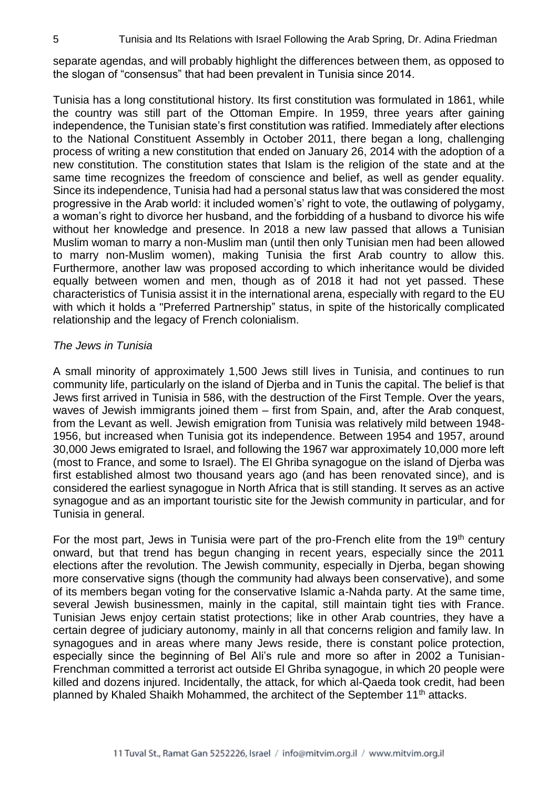separate agendas, and will probably highlight the differences between them, as opposed to the slogan of "consensus" that had been prevalent in Tunisia since 2014.

Tunisia has a long constitutional history. Its first constitution was formulated in 1861, while the country was still part of the Ottoman Empire. In 1959, three years after gaining independence, the Tunisian state's first constitution was ratified. Immediately after elections to the National Constituent Assembly in October 2011, there began a long, challenging process of writing a new constitution that ended on January 26, 2014 with the adoption of a new constitution. The constitution states that Islam is the religion of the state and at the same time recognizes the freedom of conscience and belief, as well as gender equality. Since its independence, Tunisia had had a personal status law that was considered the most progressive in the Arab world: it included women's' right to vote, the outlawing of polygamy, a woman's right to divorce her husband, and the forbidding of a husband to divorce his wife without her knowledge and presence. In 2018 a new law passed that allows a Tunisian Muslim woman to marry a non-Muslim man (until then only Tunisian men had been allowed to marry non-Muslim women), making Tunisia the first Arab country to allow this. Furthermore, another law was proposed according to which inheritance would be divided equally between women and men, though as of 2018 it had not yet passed. These characteristics of Tunisia assist it in the international arena, especially with regard to the EU with which it holds a "Preferred Partnership" status, in spite of the historically complicated relationship and the legacy of French colonialism.

#### *The Jews in Tunisia*

A small minority of approximately 1,500 Jews still lives in Tunisia, and continues to run community life, particularly on the island of Djerba and in Tunis the capital. The belief is that Jews first arrived in Tunisia in 586, with the destruction of the First Temple. Over the years, waves of Jewish immigrants joined them – first from Spain, and, after the Arab conquest, from the Levant as well. Jewish emigration from Tunisia was relatively mild between 1948- 1956, but increased when Tunisia got its independence. Between 1954 and 1957, around 30,000 Jews emigrated to Israel, and following the 1967 war approximately 10,000 more left (most to France, and some to Israel). The El Ghriba synagogue on the island of Djerba was first established almost two thousand years ago (and has been renovated since), and is considered the earliest synagogue in North Africa that is still standing. It serves as an active synagogue and as an important touristic site for the Jewish community in particular, and for Tunisia in general.

For the most part, Jews in Tunisia were part of the pro-French elite from the 19<sup>th</sup> century onward, but that trend has begun changing in recent years, especially since the 2011 elections after the revolution. The Jewish community, especially in Djerba, began showing more conservative signs (though the community had always been conservative), and some of its members began voting for the conservative Islamic a-Nahda party. At the same time, several Jewish businessmen, mainly in the capital, still maintain tight ties with France. Tunisian Jews enjoy certain statist protections; like in other Arab countries, they have a certain degree of judiciary autonomy, mainly in all that concerns religion and family law. In synagogues and in areas where many Jews reside, there is constant police protection, especially since the beginning of Bel Ali's rule and more so after in 2002 a Tunisian-Frenchman committed a terrorist act outside El Ghriba synagogue, in which 20 people were killed and dozens injured. Incidentally, the attack, for which al-Qaeda took credit, had been planned by Khaled Shaikh Mohammed, the architect of the September 11<sup>th</sup> attacks.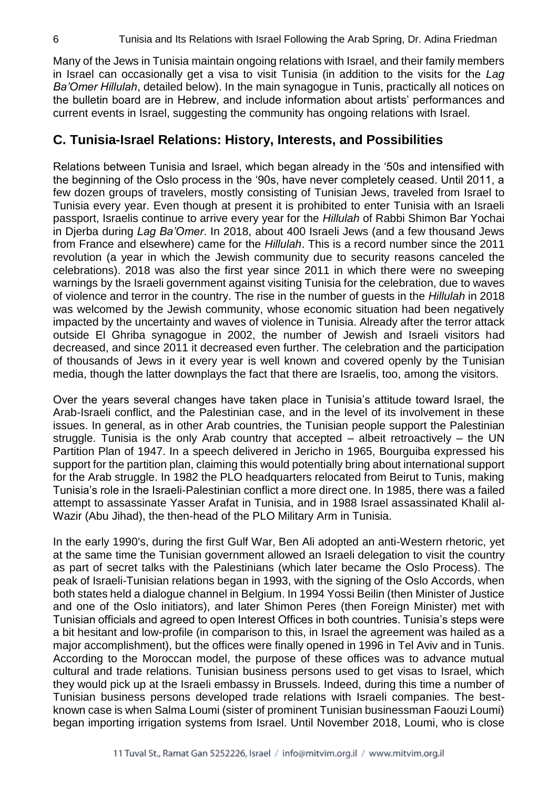Many of the Jews in Tunisia maintain ongoing relations with Israel, and their family members in Israel can occasionally get a visa to visit Tunisia (in addition to the visits for the *Lag Ba'Omer Hillulah*, detailed below). In the main synagogue in Tunis, practically all notices on the bulletin board are in Hebrew, and include information about artists' performances and current events in Israel, suggesting the community has ongoing relations with Israel.

### **C. Tunisia-Israel Relations: History, Interests, and Possibilities**

Relations between Tunisia and Israel, which began already in the '50s and intensified with the beginning of the Oslo process in the '90s, have never completely ceased. Until 2011, a few dozen groups of travelers, mostly consisting of Tunisian Jews, traveled from Israel to Tunisia every year. Even though at present it is prohibited to enter Tunisia with an Israeli passport, Israelis continue to arrive every year for the *Hillulah* of Rabbi Shimon Bar Yochai in Djerba during *Lag Ba'Omer*. In 2018, about 400 Israeli Jews (and a few thousand Jews from France and elsewhere) came for the *Hillulah*. This is a record number since the 2011 revolution (a year in which the Jewish community due to security reasons canceled the celebrations). 2018 was also the first year since 2011 in which there were no sweeping warnings by the Israeli government against visiting Tunisia for the celebration, due to waves of violence and terror in the country. The rise in the number of guests in the *Hillulah* in 2018 was welcomed by the Jewish community, whose economic situation had been negatively impacted by the uncertainty and waves of violence in Tunisia. Already after the terror attack outside El Ghriba synagogue in 2002, the number of Jewish and Israeli visitors had decreased, and since 2011 it decreased even further. The celebration and the participation of thousands of Jews in it every year is well known and covered openly by the Tunisian media, though the latter downplays the fact that there are Israelis, too, among the visitors.

Over the years several changes have taken place in Tunisia's attitude toward Israel, the Arab-Israeli conflict, and the Palestinian case, and in the level of its involvement in these issues. In general, as in other Arab countries, the Tunisian people support the Palestinian struggle. Tunisia is the only Arab country that accepted – albeit retroactively – the UN Partition Plan of 1947. In a speech delivered in Jericho in 1965, Bourguiba expressed his support for the partition plan, claiming this would potentially bring about international support for the Arab struggle. In 1982 the PLO headquarters relocated from Beirut to Tunis, making Tunisia's role in the Israeli-Palestinian conflict a more direct one. In 1985, there was a failed attempt to assassinate Yasser Arafat in Tunisia, and in 1988 Israel assassinated Khalil al-Wazir (Abu Jihad), the then-head of the PLO Military Arm in Tunisia.

In the early 1990's, during the first Gulf War, Ben Ali adopted an anti-Western rhetoric, yet at the same time the Tunisian government allowed an Israeli delegation to visit the country as part of secret talks with the Palestinians (which later became the Oslo Process). The peak of Israeli-Tunisian relations began in 1993, with the signing of the Oslo Accords, when both states held a dialogue channel in Belgium. In 1994 Yossi Beilin (then Minister of Justice and one of the Oslo initiators), and later Shimon Peres (then Foreign Minister) met with Tunisian officials and agreed to open Interest Offices in both countries. Tunisia's steps were a bit hesitant and low-profile (in comparison to this, in Israel the agreement was hailed as a major accomplishment), but the offices were finally opened in 1996 in Tel Aviv and in Tunis. According to the Moroccan model, the purpose of these offices was to advance mutual cultural and trade relations. Tunisian business persons used to get visas to Israel, which they would pick up at the Israeli embassy in Brussels. Indeed, during this time a number of Tunisian business persons developed trade relations with Israeli companies. The bestknown case is when Salma Loumi (sister of prominent Tunisian businessman Faouzi Loumi) began importing irrigation systems from Israel. Until November 2018, Loumi, who is close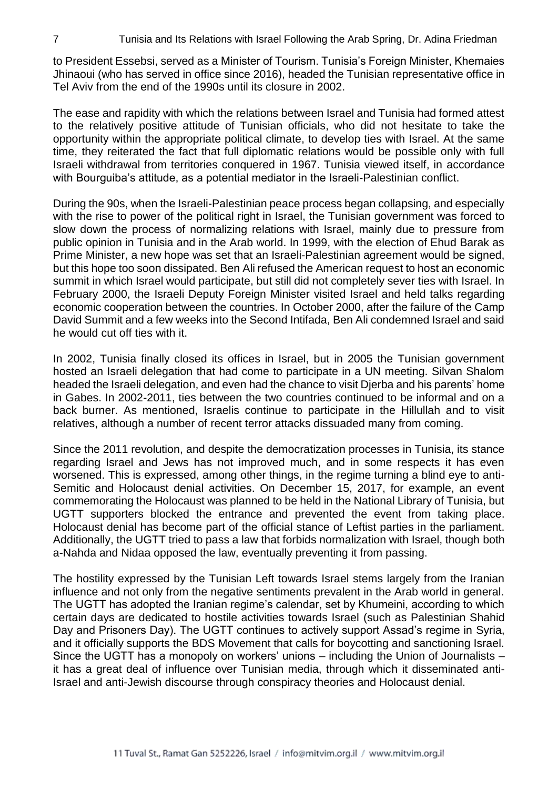to President Essebsi, served as a Minister of Tourism. Tunisia's Foreign Minister, Khemaies Jhinaoui (who has served in office since 2016), headed the Tunisian representative office in Tel Aviv from the end of the 1990s until its closure in 2002.

The ease and rapidity with which the relations between Israel and Tunisia had formed attest to the relatively positive attitude of Tunisian officials, who did not hesitate to take the opportunity within the appropriate political climate, to develop ties with Israel. At the same time, they reiterated the fact that full diplomatic relations would be possible only with full Israeli withdrawal from territories conquered in 1967. Tunisia viewed itself, in accordance with Bourguiba's attitude, as a potential mediator in the Israeli-Palestinian conflict.

During the 90s, when the Israeli-Palestinian peace process began collapsing, and especially with the rise to power of the political right in Israel, the Tunisian government was forced to slow down the process of normalizing relations with Israel, mainly due to pressure from public opinion in Tunisia and in the Arab world. In 1999, with the election of Ehud Barak as Prime Minister, a new hope was set that an Israeli-Palestinian agreement would be signed, but this hope too soon dissipated. Ben Ali refused the American request to host an economic summit in which Israel would participate, but still did not completely sever ties with Israel. In February 2000, the Israeli Deputy Foreign Minister visited Israel and held talks regarding economic cooperation between the countries. In October 2000, after the failure of the Camp David Summit and a few weeks into the Second Intifada, Ben Ali condemned Israel and said he would cut off ties with it.

In 2002, Tunisia finally closed its offices in Israel, but in 2005 the Tunisian government hosted an Israeli delegation that had come to participate in a UN meeting. Silvan Shalom headed the Israeli delegation, and even had the chance to visit Djerba and his parents' home in Gabes. In 2002-2011, ties between the two countries continued to be informal and on a back burner. As mentioned, Israelis continue to participate in the Hillullah and to visit relatives, although a number of recent terror attacks dissuaded many from coming.

Since the 2011 revolution, and despite the democratization processes in Tunisia, its stance regarding Israel and Jews has not improved much, and in some respects it has even worsened. This is expressed, among other things, in the regime turning a blind eye to anti-Semitic and Holocaust denial activities. On December 15, 2017, for example, an event commemorating the Holocaust was planned to be held in the National Library of Tunisia, but UGTT supporters blocked the entrance and prevented the event from taking place. Holocaust denial has become part of the official stance of Leftist parties in the parliament. Additionally, the UGTT tried to pass a law that forbids normalization with Israel, though both a-Nahda and Nidaa opposed the law, eventually preventing it from passing.

The hostility expressed by the Tunisian Left towards Israel stems largely from the Iranian influence and not only from the negative sentiments prevalent in the Arab world in general. The UGTT has adopted the Iranian regime's calendar, set by Khumeini, according to which certain days are dedicated to hostile activities towards Israel (such as Palestinian Shahid Day and Prisoners Day). The UGTT continues to actively support Assad's regime in Syria, and it officially supports the BDS Movement that calls for boycotting and sanctioning Israel. Since the UGTT has a monopoly on workers' unions – including the Union of Journalists – it has a great deal of influence over Tunisian media, through which it disseminated anti-Israel and anti-Jewish discourse through conspiracy theories and Holocaust denial.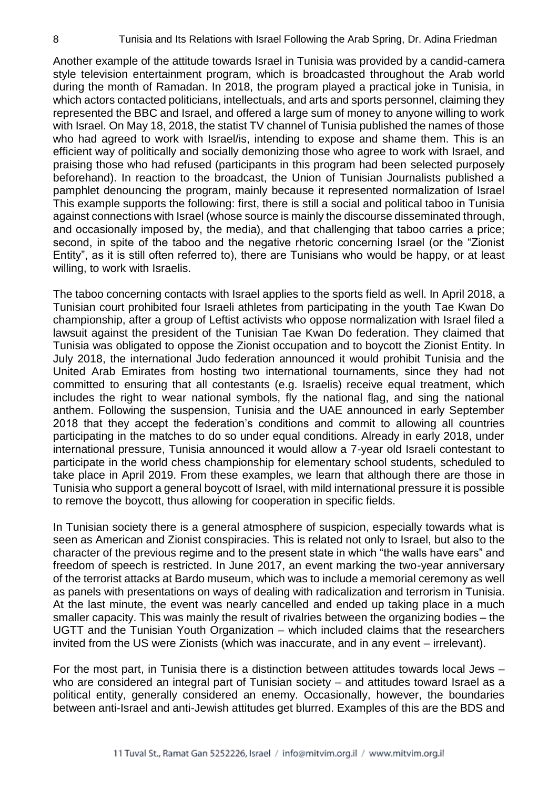Another example of the attitude towards Israel in Tunisia was provided by a candid-camera style television entertainment program, which is broadcasted throughout the Arab world during the month of Ramadan. In 2018, the program played a practical joke in Tunisia, in which actors contacted politicians, intellectuals, and arts and sports personnel, claiming they represented the BBC and Israel, and offered a large sum of money to anyone willing to work with Israel. On May 18, 2018, the statist TV channel of Tunisia published the names of those who had agreed to work with Israel/is, intending to expose and shame them. This is an efficient way of politically and socially demonizing those who agree to work with Israel, and praising those who had refused (participants in this program had been selected purposely beforehand). In reaction to the broadcast, the Union of Tunisian Journalists published a pamphlet denouncing the program, mainly because it represented normalization of Israel This example supports the following: first, there is still a social and political taboo in Tunisia against connections with Israel (whose source is mainly the discourse disseminated through, and occasionally imposed by, the media), and that challenging that taboo carries a price; second, in spite of the taboo and the negative rhetoric concerning Israel (or the "Zionist Entity", as it is still often referred to), there are Tunisians who would be happy, or at least willing, to work with Israelis.

The taboo concerning contacts with Israel applies to the sports field as well. In April 2018, a Tunisian court prohibited four Israeli athletes from participating in the youth Tae Kwan Do championship, after a group of Leftist activists who oppose normalization with Israel filed a lawsuit against the president of the Tunisian Tae Kwan Do federation. They claimed that Tunisia was obligated to oppose the Zionist occupation and to boycott the Zionist Entity. In July 2018, the international Judo federation announced it would prohibit Tunisia and the United Arab Emirates from hosting two international tournaments, since they had not committed to ensuring that all contestants (e.g. Israelis) receive equal treatment, which includes the right to wear national symbols, fly the national flag, and sing the national anthem. Following the suspension, Tunisia and the UAE announced in early September 2018 that they accept the federation's conditions and commit to allowing all countries participating in the matches to do so under equal conditions. Already in early 2018, under international pressure, Tunisia announced it would allow a 7-year old Israeli contestant to participate in the world chess championship for elementary school students, scheduled to take place in April 2019. From these examples, we learn that although there are those in Tunisia who support a general boycott of Israel, with mild international pressure it is possible to remove the boycott, thus allowing for cooperation in specific fields.

In Tunisian society there is a general atmosphere of suspicion, especially towards what is seen as American and Zionist conspiracies. This is related not only to Israel, but also to the character of the previous regime and to the present state in which "the walls have ears" and freedom of speech is restricted. In June 2017, an event marking the two-year anniversary of the terrorist attacks at Bardo museum, which was to include a memorial ceremony as well as panels with presentations on ways of dealing with radicalization and terrorism in Tunisia. At the last minute, the event was nearly cancelled and ended up taking place in a much smaller capacity. This was mainly the result of rivalries between the organizing bodies – the UGTT and the Tunisian Youth Organization – which included claims that the researchers invited from the US were Zionists (which was inaccurate, and in any event – irrelevant).

For the most part, in Tunisia there is a distinction between attitudes towards local Jews – who are considered an integral part of Tunisian society – and attitudes toward Israel as a political entity, generally considered an enemy. Occasionally, however, the boundaries between anti-Israel and anti-Jewish attitudes get blurred. Examples of this are the BDS and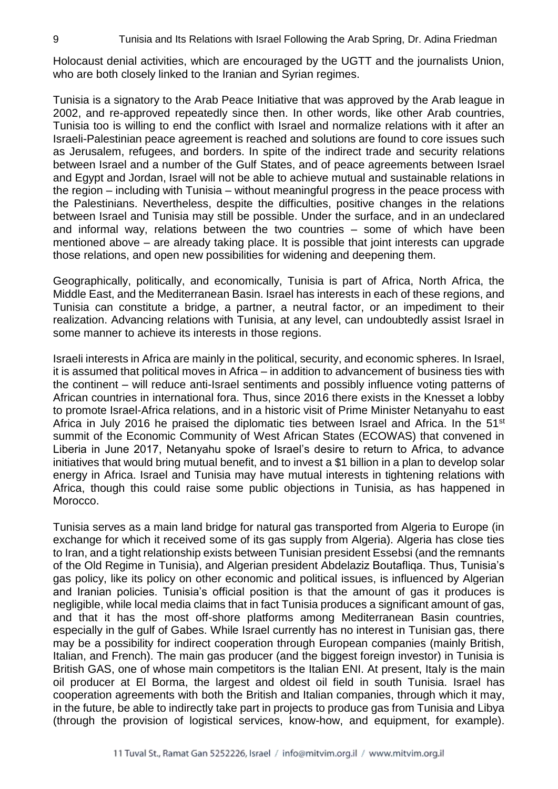Holocaust denial activities, which are encouraged by the UGTT and the journalists Union, who are both closely linked to the Iranian and Syrian regimes.

Tunisia is a signatory to the Arab Peace Initiative that was approved by the Arab league in 2002, and re-approved repeatedly since then. In other words, like other Arab countries, Tunisia too is willing to end the conflict with Israel and normalize relations with it after an Israeli-Palestinian peace agreement is reached and solutions are found to core issues such as Jerusalem, refugees, and borders. In spite of the indirect trade and security relations between Israel and a number of the Gulf States, and of peace agreements between Israel and Egypt and Jordan, Israel will not be able to achieve mutual and sustainable relations in the region – including with Tunisia – without meaningful progress in the peace process with the Palestinians. Nevertheless, despite the difficulties, positive changes in the relations between Israel and Tunisia may still be possible. Under the surface, and in an undeclared and informal way, relations between the two countries – some of which have been mentioned above – are already taking place. It is possible that joint interests can upgrade those relations, and open new possibilities for widening and deepening them.

Geographically, politically, and economically, Tunisia is part of Africa, North Africa, the Middle East, and the Mediterranean Basin. Israel has interests in each of these regions, and Tunisia can constitute a bridge, a partner, a neutral factor, or an impediment to their realization. Advancing relations with Tunisia, at any level, can undoubtedly assist Israel in some manner to achieve its interests in those regions.

Israeli interests in Africa are mainly in the political, security, and economic spheres. In Israel, it is assumed that political moves in Africa – in addition to advancement of business ties with the continent – will reduce anti-Israel sentiments and possibly influence voting patterns of African countries in international fora. Thus, since 2016 there exists in the Knesset a lobby to promote Israel-Africa relations, and in a historic visit of Prime Minister Netanyahu to east Africa in July 2016 he praised the diplomatic ties between Israel and Africa. In the 51<sup>st</sup> summit of the Economic Community of West African States (ECOWAS) that convened in Liberia in June 2017, Netanyahu spoke of Israel's desire to return to Africa, to advance initiatives that would bring mutual benefit, and to invest a \$1 billion in a plan to develop solar energy in Africa. Israel and Tunisia may have mutual interests in tightening relations with Africa, though this could raise some public objections in Tunisia, as has happened in Morocco.

Tunisia serves as a main land bridge for natural gas transported from Algeria to Europe (in exchange for which it received some of its gas supply from Algeria). Algeria has close ties to Iran, and a tight relationship exists between Tunisian president Essebsi (and the remnants of the Old Regime in Tunisia), and Algerian president Abdelaziz Boutafliqa. Thus, Tunisia's gas policy, like its policy on other economic and political issues, is influenced by Algerian and Iranian policies. Tunisia's official position is that the amount of gas it produces is negligible, while local media claims that in fact Tunisia produces a significant amount of gas, and that it has the most off-shore platforms among Mediterranean Basin countries, especially in the gulf of Gabes. While Israel currently has no interest in Tunisian gas, there may be a possibility for indirect cooperation through European companies (mainly British, Italian, and French). The main gas producer (and the biggest foreign investor) in Tunisia is British GAS, one of whose main competitors is the Italian ENI. At present, Italy is the main oil producer at El Borma, the largest and oldest oil field in south Tunisia. Israel has cooperation agreements with both the British and Italian companies, through which it may, in the future, be able to indirectly take part in projects to produce gas from Tunisia and Libya (through the provision of logistical services, know-how, and equipment, for example).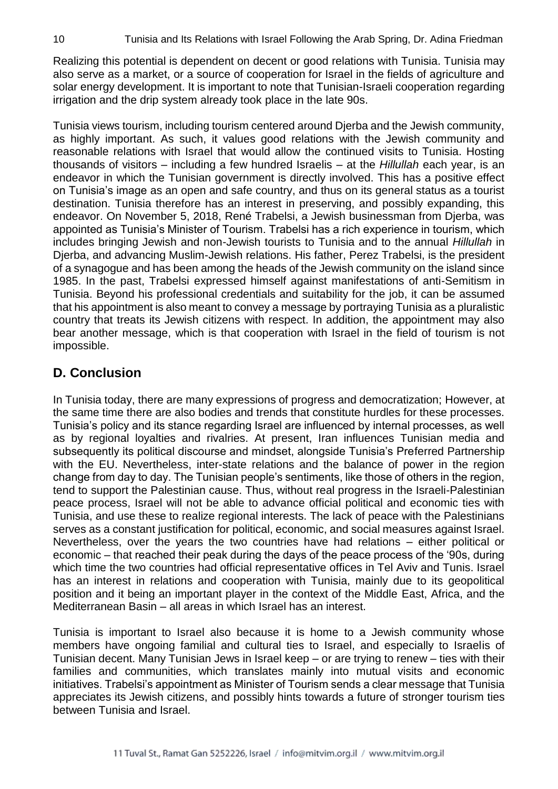Realizing this potential is dependent on decent or good relations with Tunisia. Tunisia may also serve as a market, or a source of cooperation for Israel in the fields of agriculture and solar energy development. It is important to note that Tunisian-Israeli cooperation regarding irrigation and the drip system already took place in the late 90s.

Tunisia views tourism, including tourism centered around Djerba and the Jewish community, as highly important. As such, it values good relations with the Jewish community and reasonable relations with Israel that would allow the continued visits to Tunisia. Hosting thousands of visitors – including a few hundred Israelis – at the *Hillullah* each year, is an endeavor in which the Tunisian government is directly involved. This has a positive effect on Tunisia's image as an open and safe country, and thus on its general status as a tourist destination. Tunisia therefore has an interest in preserving, and possibly expanding, this endeavor. On November 5, 2018, René Trabelsi, a Jewish businessman from Djerba, was appointed as Tunisia's Minister of Tourism. Trabelsi has a rich experience in tourism, which includes bringing Jewish and non-Jewish tourists to Tunisia and to the annual *Hillullah* in Djerba, and advancing Muslim-Jewish relations. His father, Perez Trabelsi, is the president of a synagogue and has been among the heads of the Jewish community on the island since 1985. In the past, Trabelsi expressed himself against manifestations of anti-Semitism in Tunisia. Beyond his professional credentials and suitability for the job, it can be assumed that his appointment is also meant to convey a message by portraying Tunisia as a pluralistic country that treats its Jewish citizens with respect. In addition, the appointment may also bear another message, which is that cooperation with Israel in the field of tourism is not impossible.

## **D. Conclusion**

In Tunisia today, there are many expressions of progress and democratization; However, at the same time there are also bodies and trends that constitute hurdles for these processes. Tunisia's policy and its stance regarding Israel are influenced by internal processes, as well as by regional loyalties and rivalries. At present, Iran influences Tunisian media and subsequently its political discourse and mindset, alongside Tunisia's Preferred Partnership with the EU. Nevertheless, inter-state relations and the balance of power in the region change from day to day. The Tunisian people's sentiments, like those of others in the region, tend to support the Palestinian cause. Thus, without real progress in the Israeli-Palestinian peace process, Israel will not be able to advance official political and economic ties with Tunisia, and use these to realize regional interests. The lack of peace with the Palestinians serves as a constant justification for political, economic, and social measures against Israel. Nevertheless, over the years the two countries have had relations – either political or economic – that reached their peak during the days of the peace process of the '90s, during which time the two countries had official representative offices in Tel Aviv and Tunis. Israel has an interest in relations and cooperation with Tunisia, mainly due to its geopolitical position and it being an important player in the context of the Middle East, Africa, and the Mediterranean Basin – all areas in which Israel has an interest.

Tunisia is important to Israel also because it is home to a Jewish community whose members have ongoing familial and cultural ties to Israel, and especially to Israelis of Tunisian decent. Many Tunisian Jews in Israel keep – or are trying to renew – ties with their families and communities, which translates mainly into mutual visits and economic initiatives. Trabelsi's appointment as Minister of Tourism sends a clear message that Tunisia appreciates its Jewish citizens, and possibly hints towards a future of stronger tourism ties between Tunisia and Israel.